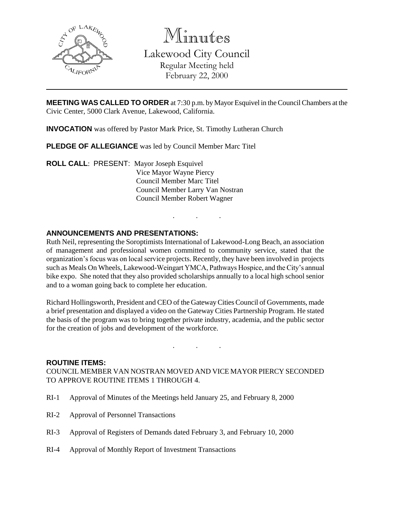

Minutes

Lakewood City Council Regular Meeting held February 22, 2000

**MEETING WAS CALLED TO ORDER** at 7:30 p.m. by Mayor Esquivel in the Council Chambers at the Civic Center, 5000 Clark Avenue, Lakewood, California.

**INVOCATION** was offered by Pastor Mark Price, St. Timothy Lutheran Church

**PLEDGE OF ALLEGIANCE** was led by Council Member Marc Titel

**ROLL CALL**: PRESENT: Mayor Joseph Esquivel Vice Mayor Wayne Piercy Council Member Marc Titel Council Member Larry Van Nostran Council Member Robert Wagner

# **ANNOUNCEMENTS AND PRESENTATIONS:**

Ruth Neil, representing the Soroptimists International of Lakewood-Long Beach, an association of management and professional women committed to community service, stated that the organization's focus was on local service projects. Recently, they have been involved in projects such as Meals On Wheels, Lakewood-Weingart YMCA, Pathways Hospice, and the City's annual bike expo. She noted that they also provided scholarships annually to a local high school senior and to a woman going back to complete her education.

. . .

Richard Hollingsworth, President and CEO of the Gateway Cities Council of Governments, made a brief presentation and displayed a video on the Gateway Cities Partnership Program. He stated the basis of the program was to bring together private industry, academia, and the public sector for the creation of jobs and development of the workforce.

. . .

#### **ROUTINE ITEMS:**

COUNCIL MEMBER VAN NOSTRAN MOVED AND VICE MAYOR PIERCY SECONDED TO APPROVE ROUTINE ITEMS 1 THROUGH 4.

- RI-1 Approval of Minutes of the Meetings held January 25, and February 8, 2000
- RI-2 Approval of Personnel Transactions
- RI-3 Approval of Registers of Demands dated February 3, and February 10, 2000
- RI-4 Approval of Monthly Report of Investment Transactions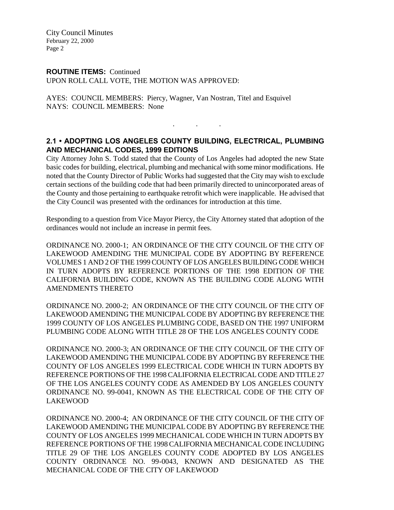City Council Minutes February 22, 2000 Page 2

#### **ROUTINE ITEMS:** Continued

UPON ROLL CALL VOTE, THE MOTION WAS APPROVED:

AYES: COUNCIL MEMBERS: Piercy, Wagner, Van Nostran, Titel and Esquivel NAYS: COUNCIL MEMBERS: None

. . .

### **2.1 • ADOPTING LOS ANGELES COUNTY BUILDING, ELECTRICAL, PLUMBING AND MECHANICAL CODES, 1999 EDITIONS**

City Attorney John S. Todd stated that the County of Los Angeles had adopted the new State basic codes for building, electrical, plumbing and mechanical with some minor modifications. He noted that the County Director of Public Works had suggested that the City may wish to exclude certain sections of the building code that had been primarily directed to unincorporated areas of the County and those pertaining to earthquake retrofit which were inapplicable. He advised that the City Council was presented with the ordinances for introduction at this time.

Responding to a question from Vice Mayor Piercy, the City Attorney stated that adoption of the ordinances would not include an increase in permit fees.

ORDINANCE NO. 2000-1; AN ORDINANCE OF THE CITY COUNCIL OF THE CITY OF LAKEWOOD AMENDING THE MUNICIPAL CODE BY ADOPTING BY REFERENCE VOLUMES 1 AND 2 OF THE 1999 COUNTY OF LOS ANGELES BUILDING CODE WHICH IN TURN ADOPTS BY REFERENCE PORTIONS OF THE 1998 EDITION OF THE CALIFORNIA BUILDING CODE, KNOWN AS THE BUILDING CODE ALONG WITH AMENDMENTS THERETO

ORDINANCE NO. 2000-2; AN ORDINANCE OF THE CITY COUNCIL OF THE CITY OF LAKEWOOD AMENDING THE MUNICIPAL CODE BY ADOPTING BY REFERENCE THE 1999 COUNTY OF LOS ANGELES PLUMBING CODE, BASED ON THE 1997 UNIFORM PLUMBING CODE ALONG WITH TITLE 28 OF THE LOS ANGELES COUNTY CODE

ORDINANCE NO. 2000-3; AN ORDINANCE OF THE CITY COUNCIL OF THE CITY OF LAKEWOOD AMENDING THE MUNICIPAL CODE BY ADOPTING BY REFERENCE THE COUNTY OF LOS ANGELES 1999 ELECTRICAL CODE WHICH IN TURN ADOPTS BY REFERENCE PORTIONS OF THE 1998 CALIFORNIA ELECTRICAL CODE AND TITLE 27 OF THE LOS ANGELES COUNTY CODE AS AMENDED BY LOS ANGELES COUNTY ORDINANCE NO. 99-0041, KNOWN AS THE ELECTRICAL CODE OF THE CITY OF LAKEWOOD

ORDINANCE NO. 2000-4; AN ORDINANCE OF THE CITY COUNCIL OF THE CITY OF LAKEWOOD AMENDING THE MUNICIPAL CODE BY ADOPTING BY REFERENCE THE COUNTY OF LOS ANGELES 1999 MECHANICAL CODE WHICH IN TURN ADOPTS BY REFERENCE PORTIONS OF THE 1998 CALIFORNIA MECHANICAL CODE INCLUDING TITLE 29 OF THE LOS ANGELES COUNTY CODE ADOPTED BY LOS ANGELES COUNTY ORDINANCE NO. 99-0043, KNOWN AND DESIGNATED AS THE MECHANICAL CODE OF THE CITY OF LAKEWOOD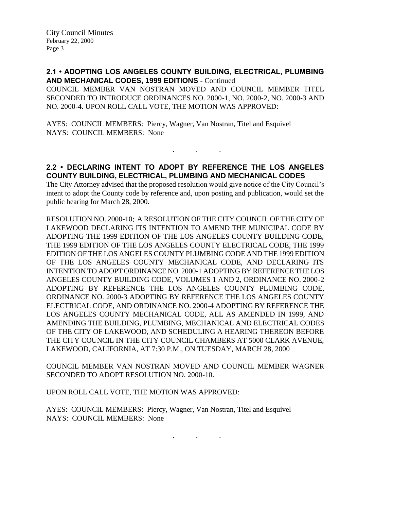**2.1 • ADOPTING LOS ANGELES COUNTY BUILDING, ELECTRICAL, PLUMBING AND MECHANICAL CODES, 1999 EDITIONS** - Continued

COUNCIL MEMBER VAN NOSTRAN MOVED AND COUNCIL MEMBER TITEL SECONDED TO INTRODUCE ORDINANCES NO. 2000-1, NO. 2000-2, NO. 2000-3 AND NO. 2000-4. UPON ROLL CALL VOTE, THE MOTION WAS APPROVED:

AYES: COUNCIL MEMBERS: Piercy, Wagner, Van Nostran, Titel and Esquivel NAYS: COUNCIL MEMBERS: None

# **2.2 • DECLARING INTENT TO ADOPT BY REFERENCE THE LOS ANGELES COUNTY BUILDING, ELECTRICAL, PLUMBING AND MECHANICAL CODES**

. . .

The City Attorney advised that the proposed resolution would give notice of the City Council's intent to adopt the County code by reference and, upon posting and publication, would set the public hearing for March 28, 2000.

RESOLUTION NO. 2000-10; A RESOLUTION OF THE CITY COUNCIL OF THE CITY OF LAKEWOOD DECLARING ITS INTENTION TO AMEND THE MUNICIPAL CODE BY ADOPTING THE 1999 EDITION OF THE LOS ANGELES COUNTY BUILDING CODE, THE 1999 EDITION OF THE LOS ANGELES COUNTY ELECTRICAL CODE, THE 1999 EDITION OF THE LOS ANGELES COUNTY PLUMBING CODE AND THE 1999 EDITION OF THE LOS ANGELES COUNTY MECHANICAL CODE, AND DECLARING ITS INTENTION TO ADOPT ORDINANCE NO. 2000-1 ADOPTING BY REFERENCE THE LOS ANGELES COUNTY BUILDING CODE, VOLUMES 1 AND 2, ORDINANCE NO. 2000-2 ADOPTING BY REFERENCE THE LOS ANGELES COUNTY PLUMBING CODE, ORDINANCE NO. 2000-3 ADOPTING BY REFERENCE THE LOS ANGELES COUNTY ELECTRICAL CODE, AND ORDINANCE NO. 2000-4 ADOPTING BY REFERENCE THE LOS ANGELES COUNTY MECHANICAL CODE, ALL AS AMENDED IN 1999, AND AMENDING THE BUILDING, PLUMBING, MECHANICAL AND ELECTRICAL CODES OF THE CITY OF LAKEWOOD, AND SCHEDULING A HEARING THEREON BEFORE THE CITY COUNCIL IN THE CITY COUNCIL CHAMBERS AT 5000 CLARK AVENUE, LAKEWOOD, CALIFORNIA, AT 7:30 P.M., ON TUESDAY, MARCH 28, 2000

COUNCIL MEMBER VAN NOSTRAN MOVED AND COUNCIL MEMBER WAGNER SECONDED TO ADOPT RESOLUTION NO. 2000-10.

UPON ROLL CALL VOTE, THE MOTION WAS APPROVED:

AYES: COUNCIL MEMBERS: Piercy, Wagner, Van Nostran, Titel and Esquivel NAYS: COUNCIL MEMBERS: None

. . .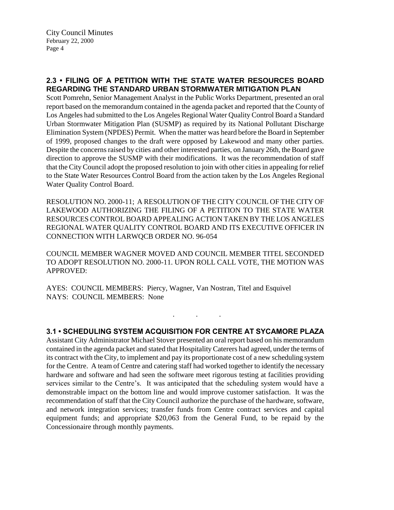# **2.3 • FILING OF A PETITION WITH THE STATE WATER RESOURCES BOARD REGARDING THE STANDARD URBAN STORMWATER MITIGATION PLAN**

Scott Pomrehn, Senior Management Analyst in the Public Works Department, presented an oral report based on the memorandum contained in the agenda packet and reported that the County of Los Angeles had submitted to the Los Angeles Regional Water Quality Control Board a Standard Urban Stormwater Mitigation Plan (SUSMP) as required by its National Pollutant Discharge Elimination System (NPDES) Permit. When the matter was heard before the Board in September of 1999, proposed changes to the draft were opposed by Lakewood and many other parties. Despite the concerns raised by cities and other interested parties, on January 26th, the Board gave direction to approve the SUSMP with their modifications. It was the recommendation of staff that the City Council adopt the proposed resolution to join with other cities in appealing for relief to the State Water Resources Control Board from the action taken by the Los Angeles Regional Water Quality Control Board.

RESOLUTION NO. 2000-11; A RESOLUTION OF THE CITY COUNCIL OF THE CITY OF LAKEWOOD AUTHORIZING THE FILING OF A PETITION TO THE STATE WATER RESOURCES CONTROL BOARD APPEALING ACTION TAKEN BY THE LOS ANGELES REGIONAL WATER QUALITY CONTROL BOARD AND ITS EXECUTIVE OFFICER IN CONNECTION WITH LARWQCB ORDER NO. 96-054

COUNCIL MEMBER WAGNER MOVED AND COUNCIL MEMBER TITEL SECONDED TO ADOPT RESOLUTION NO. 2000-11. UPON ROLL CALL VOTE, THE MOTION WAS APPROVED:

AYES: COUNCIL MEMBERS: Piercy, Wagner, Van Nostran, Titel and Esquivel NAYS: COUNCIL MEMBERS: None

**3.1 • SCHEDULING SYSTEM ACQUISITION FOR CENTRE AT SYCAMORE PLAZA**

. . .

Assistant City Administrator Michael Stover presented an oral report based on his memorandum contained in the agenda packet and stated that Hospitality Caterers had agreed, under the terms of its contract with the City, to implement and pay its proportionate cost of a new scheduling system for the Centre. A team of Centre and catering staff had worked together to identify the necessary hardware and software and had seen the software meet rigorous testing at facilities providing services similar to the Centre's. It was anticipated that the scheduling system would have a demonstrable impact on the bottom line and would improve customer satisfaction. It was the recommendation of staff that the City Council authorize the purchase of the hardware, software, and network integration services; transfer funds from Centre contract services and capital equipment funds; and appropriate \$20,063 from the General Fund, to be repaid by the Concessionaire through monthly payments.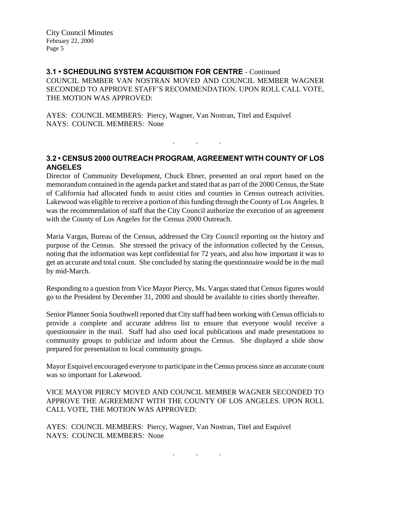**3.1 • SCHEDULING SYSTEM ACQUISITION FOR CENTRE** - Continued COUNCIL MEMBER VAN NOSTRAN MOVED AND COUNCIL MEMBER WAGNER SECONDED TO APPROVE STAFF'S RECOMMENDATION. UPON ROLL CALL VOTE, THE MOTION WAS APPROVED:

AYES: COUNCIL MEMBERS: Piercy, Wagner, Van Nostran, Titel and Esquivel NAYS: COUNCIL MEMBERS: None

# **3.2 • CENSUS 2000 OUTREACH PROGRAM, AGREEMENT WITH COUNTY OF LOS ANGELES**

. . .

Director of Community Development, Chuck Ebner, presented an oral report based on the memorandum contained in the agenda packet and stated that as part of the 2000 Census, the State of California had allocated funds to assist cities and counties in Census outreach activities. Lakewood was eligible to receive a portion of this funding through the County of Los Angeles. It was the recommendation of staff that the City Council authorize the execution of an agreement with the County of Los Angeles for the Census 2000 Outreach.

Maria Vargas, Bureau of the Census, addressed the City Council reporting on the history and purpose of the Census. She stressed the privacy of the information collected by the Census, noting that the information was kept confidential for 72 years, and also how important it was to get an accurate and total count. She concluded by stating the questionnaire would be in the mail by mid-March.

Responding to a question from Vice Mayor Piercy, Ms. Vargas stated that Census figures would go to the President by December 31, 2000 and should be available to cities shortly thereafter.

Senior Planner Sonia Southwell reported that City staff had been working with Census officials to provide a complete and accurate address list to ensure that everyone would receive a questionnaire in the mail. Staff had also used local publications and made presentations to community groups to publicize and inform about the Census. She displayed a slide show prepared for presentation to local community groups.

Mayor Esquivel encouraged everyone to participate in the Census process since an accurate count was so important for Lakewood.

VICE MAYOR PIERCY MOVED AND COUNCIL MEMBER WAGNER SECONDED TO APPROVE THE AGREEMENT WITH THE COUNTY OF LOS ANGELES. UPON ROLL CALL VOTE, THE MOTION WAS APPROVED:

AYES: COUNCIL MEMBERS: Piercy, Wagner, Van Nostran, Titel and Esquivel NAYS: COUNCIL MEMBERS: None

. . .